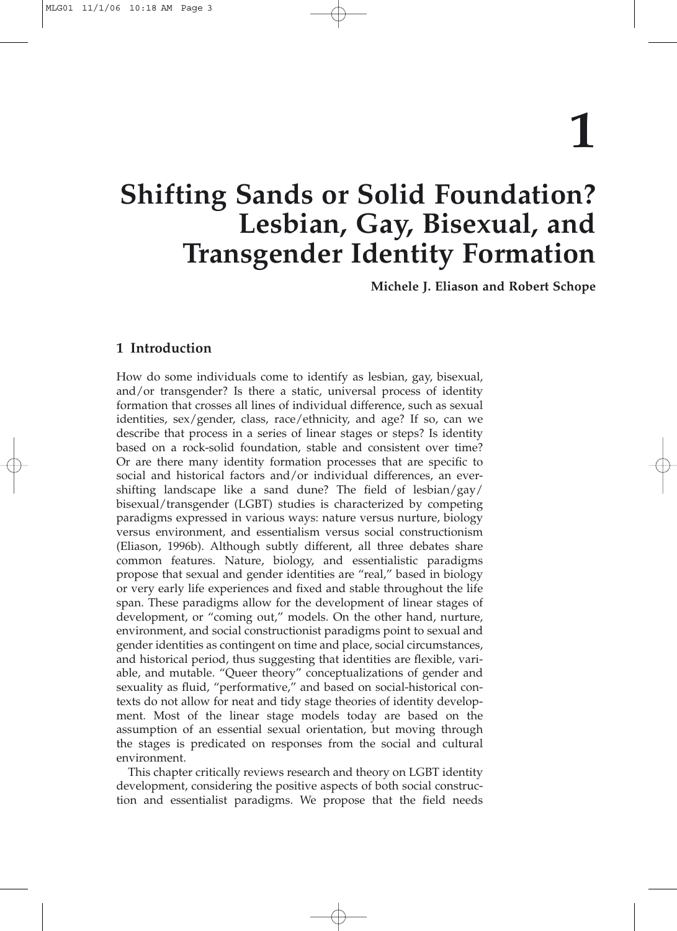# **1**

# **Shifting Sands or Solid Foundation? Lesbian, Gay, Bisexual, and Transgender Identity Formation**

**Michele J. Eliason and Robert Schope**

# **1 Introduction**

How do some individuals come to identify as lesbian, gay, bisexual, and/or transgender? Is there a static, universal process of identity formation that crosses all lines of individual difference, such as sexual identities, sex/gender, class, race/ethnicity, and age? If so, can we describe that process in a series of linear stages or steps? Is identity based on a rock-solid foundation, stable and consistent over time? Or are there many identity formation processes that are specific to social and historical factors and/or individual differences, an evershifting landscape like a sand dune? The field of lesbian/gay/ bisexual/transgender (LGBT) studies is characterized by competing paradigms expressed in various ways: nature versus nurture, biology versus environment, and essentialism versus social constructionism (Eliason, 1996b). Although subtly different, all three debates share common features. Nature, biology, and essentialistic paradigms propose that sexual and gender identities are "real," based in biology or very early life experiences and fixed and stable throughout the life span. These paradigms allow for the development of linear stages of development, or "coming out," models. On the other hand, nurture, environment, and social constructionist paradigms point to sexual and gender identities as contingent on time and place, social circumstances, and historical period, thus suggesting that identities are flexible, variable, and mutable. "Queer theory" conceptualizations of gender and sexuality as fluid, "performative," and based on social-historical contexts do not allow for neat and tidy stage theories of identity development. Most of the linear stage models today are based on the assumption of an essential sexual orientation, but moving through the stages is predicated on responses from the social and cultural environment.

This chapter critically reviews research and theory on LGBT identity development, considering the positive aspects of both social construction and essentialist paradigms. We propose that the field needs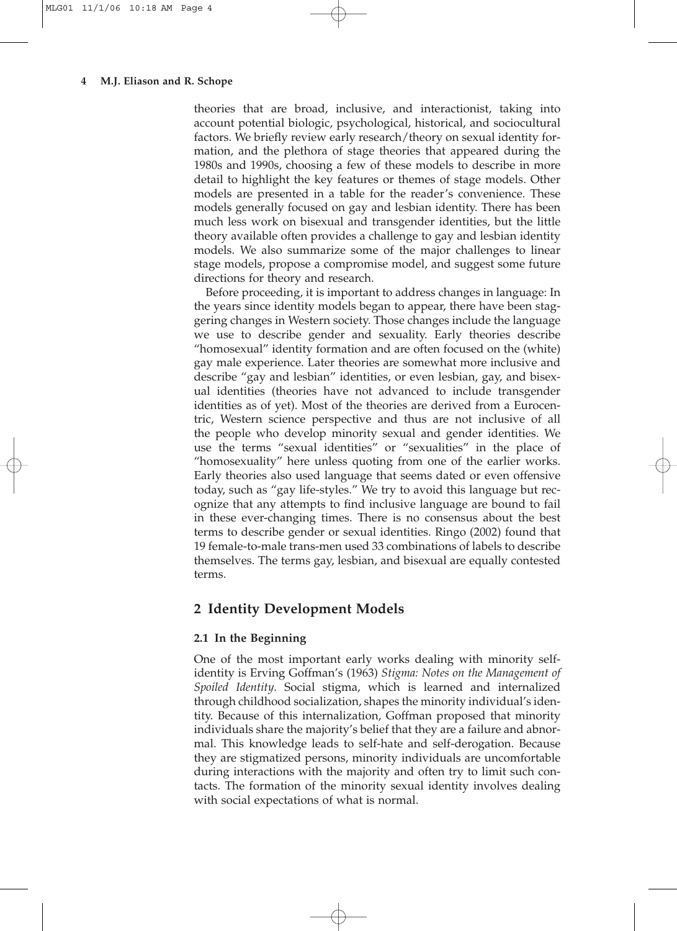theories that are broad, inclusive, and interactionist, taking into account potential biologic, psychological, historical, and sociocultural factors. We briefly review early research/theory on sexual identity formation, and the plethora of stage theories that appeared during the 1980s and 1990s, choosing a few of these models to describe in more detail to highlight the key features or themes of stage models. Other models are presented in a table for the reader's convenience. These models generally focused on gay and lesbian identity. There has been much less work on bisexual and transgender identities, but the little theory available often provides a challenge to gay and lesbian identity models. We also summarize some of the major challenges to linear stage models, propose a compromise model, and suggest some future directions for theory and research.

Before proceeding, it is important to address changes in language: In the years since identity models began to appear, there have been staggering changes in Western society. Those changes include the language we use to describe gender and sexuality. Early theories describe "homosexual" identity formation and are often focused on the (white) gay male experience. Later theories are somewhat more inclusive and describe "gay and lesbian" identities, or even lesbian, gay, and bisexual identities (theories have not advanced to include transgender identities as of yet). Most of the theories are derived from a Eurocentric, Western science perspective and thus are not inclusive of all the people who develop minority sexual and gender identities. We use the terms "sexual identities" or "sexualities" in the place of "homosexuality" here unless quoting from one of the earlier works. Early theories also used language that seems dated or even offensive today, such as "gay life-styles." We try to avoid this language but recognize that any attempts to find inclusive language are bound to fail in these ever-changing times. There is no consensus about the best terms to describe gender or sexual identities. Ringo (2002) found that 19 female-to-male trans-men used 33 combinations of labels to describe themselves. The terms gay, lesbian, and bisexual are equally contested terms.

### **2 Identity Development Models**

#### **2.1 In the Beginning**

One of the most important early works dealing with minority selfidentity is Erving Goffman's (1963) *Stigma: Notes on the Management of Spoiled Identity*. Social stigma, which is learned and internalized through childhood socialization, shapes the minority individual's identity. Because of this internalization, Goffman proposed that minority individuals share the majority's belief that they are a failure and abnormal. This knowledge leads to self-hate and self-derogation. Because they are stigmatized persons, minority individuals are uncomfortable during interactions with the majority and often try to limit such contacts. The formation of the minority sexual identity involves dealing with social expectations of what is normal.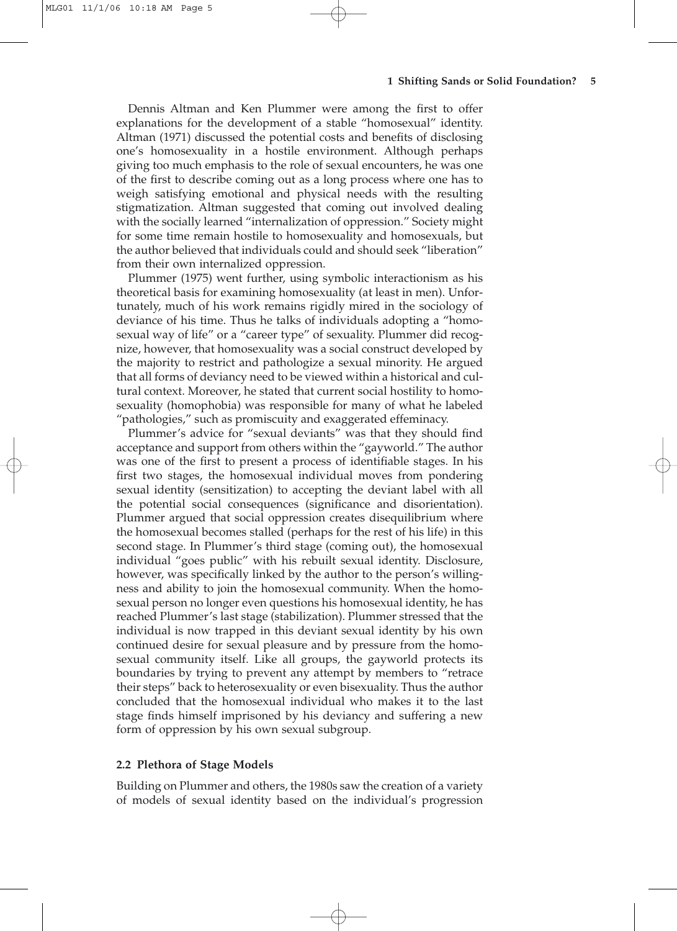Dennis Altman and Ken Plummer were among the first to offer explanations for the development of a stable "homosexual" identity. Altman (1971) discussed the potential costs and benefits of disclosing one's homosexuality in a hostile environment. Although perhaps giving too much emphasis to the role of sexual encounters, he was one of the first to describe coming out as a long process where one has to weigh satisfying emotional and physical needs with the resulting stigmatization. Altman suggested that coming out involved dealing with the socially learned "internalization of oppression." Society might for some time remain hostile to homosexuality and homosexuals, but the author believed that individuals could and should seek "liberation" from their own internalized oppression.

Plummer (1975) went further, using symbolic interactionism as his theoretical basis for examining homosexuality (at least in men). Unfortunately, much of his work remains rigidly mired in the sociology of deviance of his time. Thus he talks of individuals adopting a "homosexual way of life" or a "career type" of sexuality. Plummer did recognize, however, that homosexuality was a social construct developed by the majority to restrict and pathologize a sexual minority. He argued that all forms of deviancy need to be viewed within a historical and cultural context. Moreover, he stated that current social hostility to homosexuality (homophobia) was responsible for many of what he labeled "pathologies," such as promiscuity and exaggerated effeminacy.

Plummer's advice for "sexual deviants" was that they should find acceptance and support from others within the "gayworld." The author was one of the first to present a process of identifiable stages. In his first two stages, the homosexual individual moves from pondering sexual identity (sensitization) to accepting the deviant label with all the potential social consequences (significance and disorientation). Plummer argued that social oppression creates disequilibrium where the homosexual becomes stalled (perhaps for the rest of his life) in this second stage. In Plummer's third stage (coming out), the homosexual individual "goes public" with his rebuilt sexual identity. Disclosure, however, was specifically linked by the author to the person's willingness and ability to join the homosexual community. When the homosexual person no longer even questions his homosexual identity, he has reached Plummer's last stage (stabilization). Plummer stressed that the individual is now trapped in this deviant sexual identity by his own continued desire for sexual pleasure and by pressure from the homosexual community itself. Like all groups, the gayworld protects its boundaries by trying to prevent any attempt by members to "retrace their steps" back to heterosexuality or even bisexuality. Thus the author concluded that the homosexual individual who makes it to the last stage finds himself imprisoned by his deviancy and suffering a new form of oppression by his own sexual subgroup.

#### **2.2 Plethora of Stage Models**

Building on Plummer and others, the 1980s saw the creation of a variety of models of sexual identity based on the individual's progression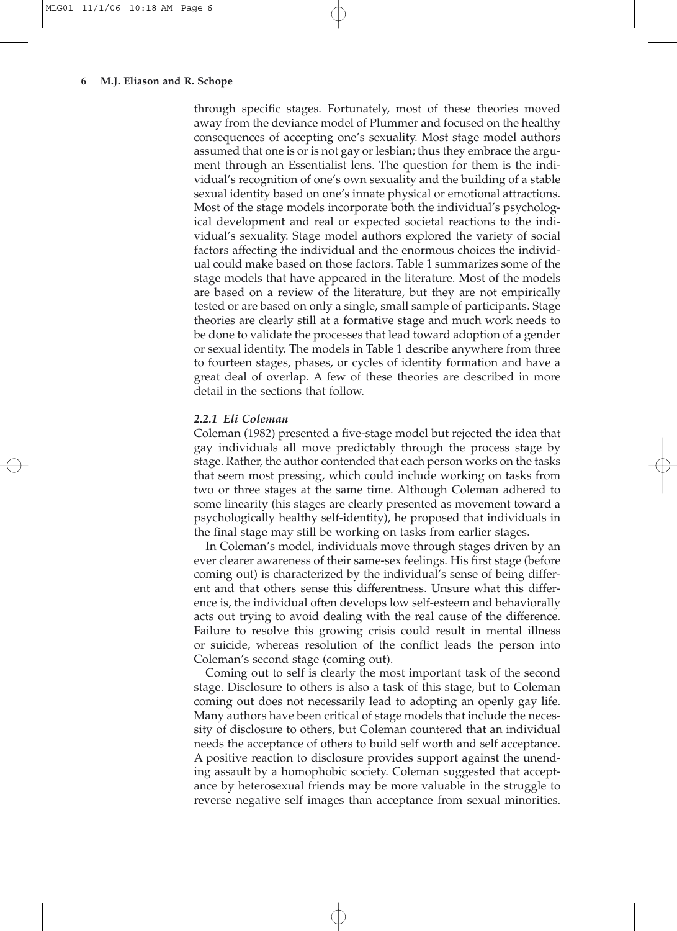through specific stages. Fortunately, most of these theories moved away from the deviance model of Plummer and focused on the healthy consequences of accepting one's sexuality. Most stage model authors assumed that one is or is not gay or lesbian; thus they embrace the argument through an Essentialist lens. The question for them is the individual's recognition of one's own sexuality and the building of a stable sexual identity based on one's innate physical or emotional attractions. Most of the stage models incorporate both the individual's psychological development and real or expected societal reactions to the individual's sexuality. Stage model authors explored the variety of social factors affecting the individual and the enormous choices the individual could make based on those factors. Table 1 summarizes some of the stage models that have appeared in the literature. Most of the models are based on a review of the literature, but they are not empirically tested or are based on only a single, small sample of participants. Stage theories are clearly still at a formative stage and much work needs to be done to validate the processes that lead toward adoption of a gender or sexual identity. The models in Table 1 describe anywhere from three to fourteen stages, phases, or cycles of identity formation and have a great deal of overlap. A few of these theories are described in more detail in the sections that follow.

#### *2.2.1 Eli Coleman*

Coleman (1982) presented a five-stage model but rejected the idea that gay individuals all move predictably through the process stage by stage. Rather, the author contended that each person works on the tasks that seem most pressing, which could include working on tasks from two or three stages at the same time. Although Coleman adhered to some linearity (his stages are clearly presented as movement toward a psychologically healthy self-identity), he proposed that individuals in the final stage may still be working on tasks from earlier stages.

In Coleman's model, individuals move through stages driven by an ever clearer awareness of their same-sex feelings. His first stage (before coming out) is characterized by the individual's sense of being different and that others sense this differentness. Unsure what this difference is, the individual often develops low self-esteem and behaviorally acts out trying to avoid dealing with the real cause of the difference. Failure to resolve this growing crisis could result in mental illness or suicide, whereas resolution of the conflict leads the person into Coleman's second stage (coming out).

Coming out to self is clearly the most important task of the second stage. Disclosure to others is also a task of this stage, but to Coleman coming out does not necessarily lead to adopting an openly gay life. Many authors have been critical of stage models that include the necessity of disclosure to others, but Coleman countered that an individual needs the acceptance of others to build self worth and self acceptance. A positive reaction to disclosure provides support against the unending assault by a homophobic society. Coleman suggested that acceptance by heterosexual friends may be more valuable in the struggle to reverse negative self images than acceptance from sexual minorities.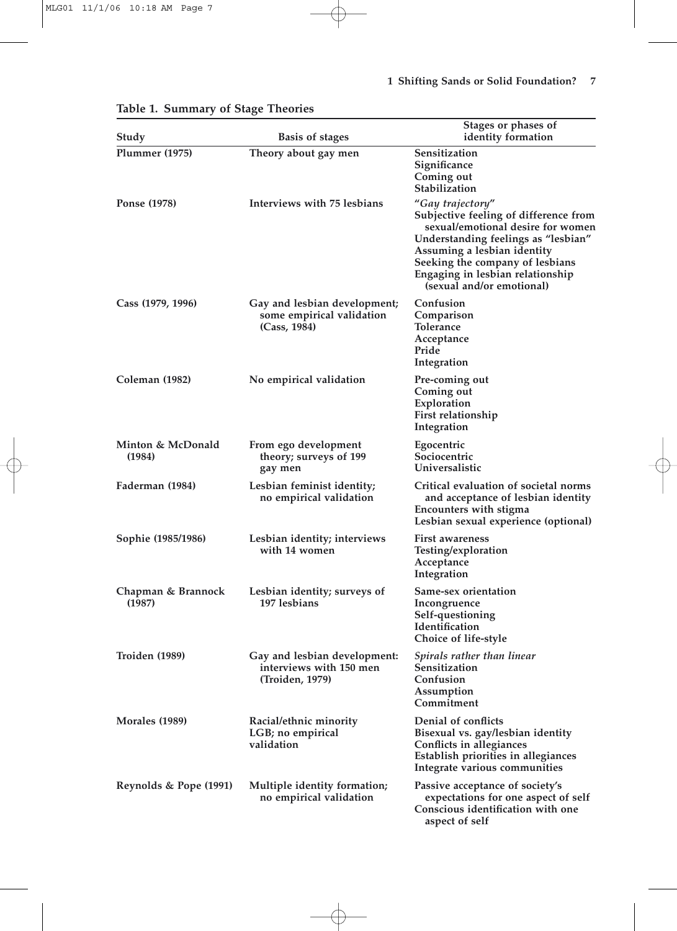| Study                        | <b>Basis of stages</b>                                                     | Stages or phases of<br>identity formation                                                                                                                                                                                                                                |
|------------------------------|----------------------------------------------------------------------------|--------------------------------------------------------------------------------------------------------------------------------------------------------------------------------------------------------------------------------------------------------------------------|
| Plummer (1975)               | Theory about gay men                                                       | Sensitization<br>Significance<br>Coming out<br>Stabilization                                                                                                                                                                                                             |
| Ponse (1978)                 | Interviews with 75 lesbians                                                | "Gay trajectory"<br>Subjective feeling of difference from<br>sexual/emotional desire for women<br>Understanding feelings as "lesbian"<br>Assuming a lesbian identity<br>Seeking the company of lesbians<br>Engaging in lesbian relationship<br>(sexual and/or emotional) |
| Cass (1979, 1996)            | Gay and lesbian development;<br>some empirical validation<br>(Cass, 1984)  | Confusion<br>Comparison<br>Tolerance<br>Acceptance<br>Pride<br>Integration                                                                                                                                                                                               |
| Coleman (1982)               | No empirical validation                                                    | Pre-coming out<br>Coming out<br>Exploration<br>First relationship<br>Integration                                                                                                                                                                                         |
| Minton & McDonald<br>(1984)  | From ego development<br>theory; surveys of 199<br>gay men                  | Egocentric<br>Sociocentric<br>Universalistic                                                                                                                                                                                                                             |
| Faderman (1984)              | Lesbian feminist identity;<br>no empirical validation                      | Critical evaluation of societal norms<br>and acceptance of lesbian identity<br><b>Encounters with stigma</b><br>Lesbian sexual experience (optional)                                                                                                                     |
| Sophie (1985/1986)           | Lesbian identity; interviews<br>with 14 women                              | <b>First awareness</b><br>Testing/exploration<br>Acceptance<br>Integration                                                                                                                                                                                               |
| Chapman & Brannock<br>(1987) | Lesbian identity; surveys of<br>197 lesbians                               | Same-sex orientation<br>Incongruence<br>Self-questioning<br>Identification<br>Choice of life-style                                                                                                                                                                       |
| <b>Troiden (1989)</b>        | Gay and lesbian development:<br>interviews with 150 men<br>(Troiden, 1979) | Spirals rather than linear<br>Sensitization<br>Confusion<br>Assumption<br>Commitment                                                                                                                                                                                     |
| Morales (1989)               | Racial/ethnic minority<br>LGB; no empirical<br>validation                  | Denial of conflicts<br>Bisexual vs. gay/lesbian identity<br>Conflicts in allegiances<br>Establish priorities in allegiances<br>Integrate various communities                                                                                                             |
| Reynolds & Pope (1991)       | Multiple identity formation;<br>no empirical validation                    | Passive acceptance of society's<br>expectations for one aspect of self<br>Conscious identification with one<br>aspect of self                                                                                                                                            |

€

# **Table 1. Summary of Stage Theories**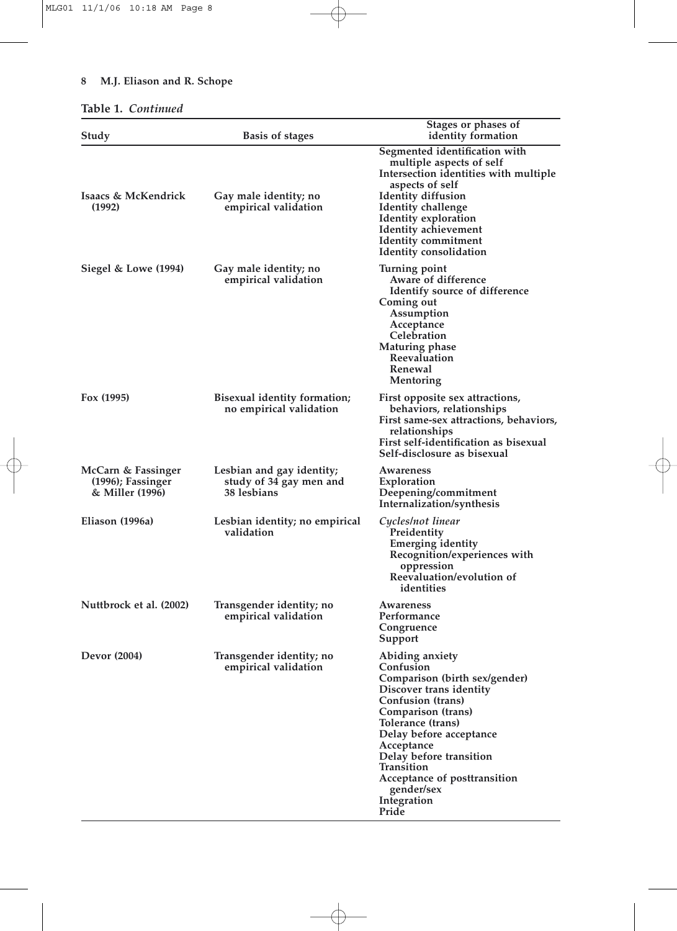# **Table 1.** *Continued*

| Study                                                         | <b>Basis of stages</b>                                              | Stages or phases of<br>identity formation                                                                                                                                                                                                                                                                               |
|---------------------------------------------------------------|---------------------------------------------------------------------|-------------------------------------------------------------------------------------------------------------------------------------------------------------------------------------------------------------------------------------------------------------------------------------------------------------------------|
| Isaacs & McKendrick<br>(1992)                                 | Gay male identity; no<br>empirical validation                       | Segmented identification with<br>multiple aspects of self<br>Intersection identities with multiple<br>aspects of self<br><b>Identity diffusion</b><br><b>Identity challenge</b><br>Identity exploration<br>Identity achievement<br><b>Identity commitment</b><br>Identity consolidation                                 |
| Siegel & Lowe $(1994)$                                        | Gay male identity; no<br>empirical validation                       | Turning point<br>Aware of difference<br>Identify source of difference<br>Coming out<br>Assumption<br>Acceptance<br>Celebration<br>Maturing phase<br>Reevaluation<br>Renewal<br>Mentoring                                                                                                                                |
| Fox (1995)                                                    | Bisexual identity formation;<br>no empirical validation             | First opposite sex attractions,<br>behaviors, relationships<br>First same-sex attractions, behaviors,<br>relationships<br>First self-identification as bisexual<br>Self-disclosure as bisexual                                                                                                                          |
| McCarn & Fassinger<br>$(1996)$ ; Fassinger<br>& Miller (1996) | Lesbian and gay identity;<br>study of 34 gay men and<br>38 lesbians | Awareness<br>Exploration<br>Deepening/commitment<br>Internalization/synthesis                                                                                                                                                                                                                                           |
| Eliason (1996a)                                               | Lesbian identity; no empirical<br>validation                        | Cycles/not linear<br>Preidentity<br><b>Emerging identity</b><br>Recognition/experiences with<br>oppression<br>Reevaluation/evolution of<br>identities                                                                                                                                                                   |
| Nuttbrock et al. (2002)                                       | Transgender identity; no<br>empirical validation                    | Awareness<br>Performance<br>Congruence<br>Support                                                                                                                                                                                                                                                                       |
| Devor (2004)                                                  | Transgender identity; no<br>empirical validation                    | Abiding anxiety<br>Confusion<br>Comparison (birth sex/gender)<br>Discover trans identity<br>Confusion (trans)<br>Comparison (trans)<br>Tolerance (trans)<br>Delay before acceptance<br>Acceptance<br>Delay before transition<br><b>Transition</b><br>Acceptance of posttransition<br>gender/sex<br>Integration<br>Pride |

Æ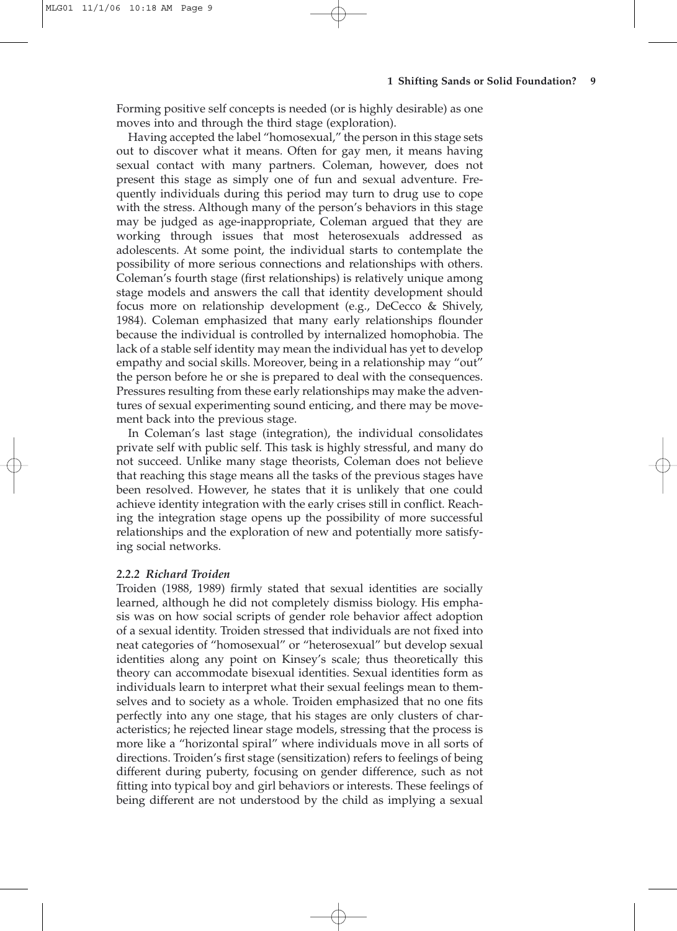Forming positive self concepts is needed (or is highly desirable) as one moves into and through the third stage (exploration).

Having accepted the label "homosexual," the person in this stage sets out to discover what it means. Often for gay men, it means having sexual contact with many partners. Coleman, however, does not present this stage as simply one of fun and sexual adventure. Frequently individuals during this period may turn to drug use to cope with the stress. Although many of the person's behaviors in this stage may be judged as age-inappropriate, Coleman argued that they are working through issues that most heterosexuals addressed as adolescents. At some point, the individual starts to contemplate the possibility of more serious connections and relationships with others. Coleman's fourth stage (first relationships) is relatively unique among stage models and answers the call that identity development should focus more on relationship development (e.g., DeCecco & Shively, 1984). Coleman emphasized that many early relationships flounder because the individual is controlled by internalized homophobia. The lack of a stable self identity may mean the individual has yet to develop empathy and social skills. Moreover, being in a relationship may "out" the person before he or she is prepared to deal with the consequences. Pressures resulting from these early relationships may make the adventures of sexual experimenting sound enticing, and there may be movement back into the previous stage.

In Coleman's last stage (integration), the individual consolidates private self with public self. This task is highly stressful, and many do not succeed. Unlike many stage theorists, Coleman does not believe that reaching this stage means all the tasks of the previous stages have been resolved. However, he states that it is unlikely that one could achieve identity integration with the early crises still in conflict. Reaching the integration stage opens up the possibility of more successful relationships and the exploration of new and potentially more satisfying social networks.

#### *2.2.2 Richard Troiden*

Troiden (1988, 1989) firmly stated that sexual identities are socially learned, although he did not completely dismiss biology. His emphasis was on how social scripts of gender role behavior affect adoption of a sexual identity. Troiden stressed that individuals are not fixed into neat categories of "homosexual" or "heterosexual" but develop sexual identities along any point on Kinsey's scale; thus theoretically this theory can accommodate bisexual identities. Sexual identities form as individuals learn to interpret what their sexual feelings mean to themselves and to society as a whole. Troiden emphasized that no one fits perfectly into any one stage, that his stages are only clusters of characteristics; he rejected linear stage models, stressing that the process is more like a "horizontal spiral" where individuals move in all sorts of directions. Troiden's first stage (sensitization) refers to feelings of being different during puberty, focusing on gender difference, such as not fitting into typical boy and girl behaviors or interests. These feelings of being different are not understood by the child as implying a sexual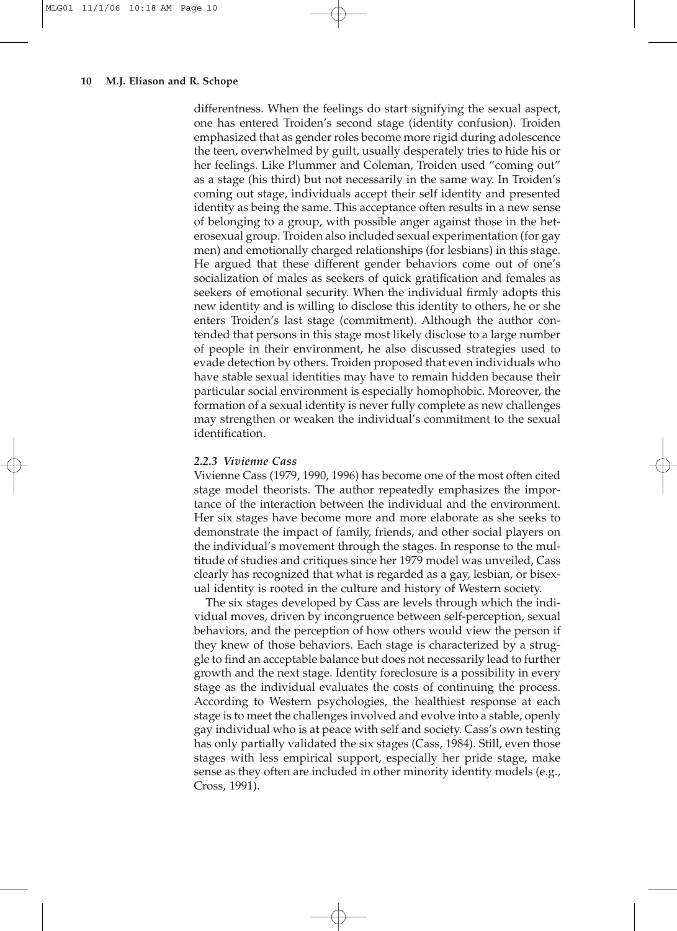differentness. When the feelings do start signifying the sexual aspect, one has entered Troiden's second stage (identity confusion). Troiden emphasized that as gender roles become more rigid during adolescence the teen, overwhelmed by guilt, usually desperately tries to hide his or her feelings. Like Plummer and Coleman, Troiden used "coming out" as a stage (his third) but not necessarily in the same way. In Troiden's coming out stage, individuals accept their self identity and presented identity as being the same. This acceptance often results in a new sense of belonging to a group, with possible anger against those in the heterosexual group. Troiden also included sexual experimentation (for gay men) and emotionally charged relationships (for lesbians) in this stage. He argued that these different gender behaviors come out of one's socialization of males as seekers of quick gratification and females as seekers of emotional security. When the individual firmly adopts this new identity and is willing to disclose this identity to others, he or she enters Troiden's last stage (commitment). Although the author contended that persons in this stage most likely disclose to a large number of people in their environment, he also discussed strategies used to evade detection by others. Troiden proposed that even individuals who have stable sexual identities may have to remain hidden because their particular social environment is especially homophobic. Moreover, the formation of a sexual identity is never fully complete as new challenges may strengthen or weaken the individual's commitment to the sexual identification.

#### *2.2.3 Vivienne Cass*

Vivienne Cass (1979, 1990, 1996) has become one of the most often cited stage model theorists. The author repeatedly emphasizes the importance of the interaction between the individual and the environment. Her six stages have become more and more elaborate as she seeks to demonstrate the impact of family, friends, and other social players on the individual's movement through the stages. In response to the multitude of studies and critiques since her 1979 model was unveiled, Cass clearly has recognized that what is regarded as a gay, lesbian, or bisexual identity is rooted in the culture and history of Western society.

The six stages developed by Cass are levels through which the individual moves, driven by incongruence between self-perception, sexual behaviors, and the perception of how others would view the person if they knew of those behaviors. Each stage is characterized by a struggle to find an acceptable balance but does not necessarily lead to further growth and the next stage. Identity foreclosure is a possibility in every stage as the individual evaluates the costs of continuing the process. According to Western psychologies, the healthiest response at each stage is to meet the challenges involved and evolve into a stable, openly gay individual who is at peace with self and society. Cass's own testing has only partially validated the six stages (Cass, 1984). Still, even those stages with less empirical support, especially her pride stage, make sense as they often are included in other minority identity models (e.g., Cross, 1991).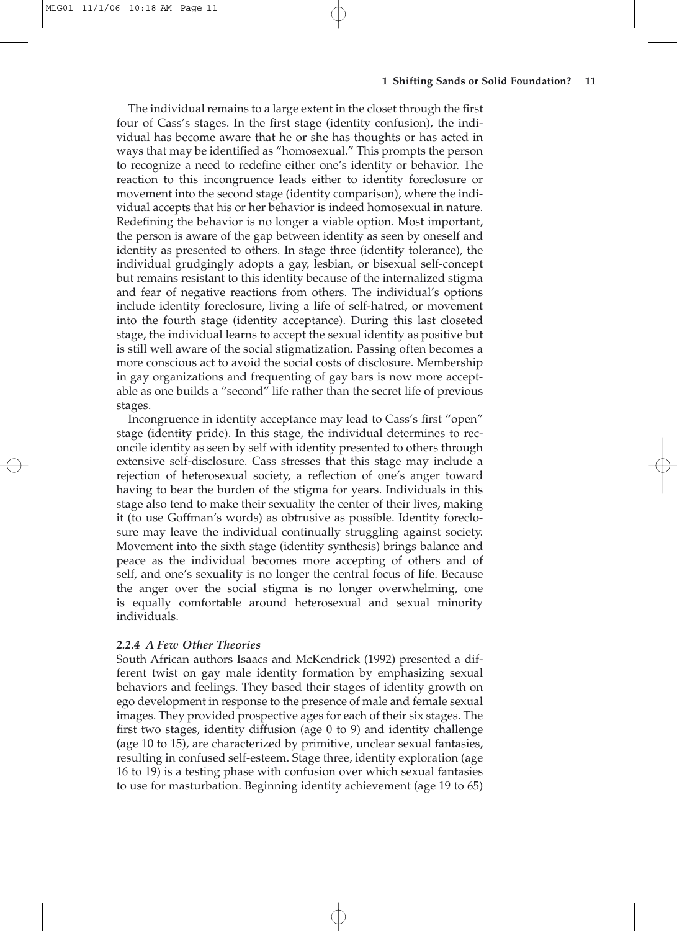The individual remains to a large extent in the closet through the first four of Cass's stages. In the first stage (identity confusion), the individual has become aware that he or she has thoughts or has acted in ways that may be identified as "homosexual." This prompts the person to recognize a need to redefine either one's identity or behavior. The reaction to this incongruence leads either to identity foreclosure or movement into the second stage (identity comparison), where the individual accepts that his or her behavior is indeed homosexual in nature. Redefining the behavior is no longer a viable option. Most important, the person is aware of the gap between identity as seen by oneself and identity as presented to others. In stage three (identity tolerance), the individual grudgingly adopts a gay, lesbian, or bisexual self-concept but remains resistant to this identity because of the internalized stigma and fear of negative reactions from others. The individual's options include identity foreclosure, living a life of self-hatred, or movement into the fourth stage (identity acceptance). During this last closeted stage, the individual learns to accept the sexual identity as positive but is still well aware of the social stigmatization. Passing often becomes a more conscious act to avoid the social costs of disclosure. Membership in gay organizations and frequenting of gay bars is now more acceptable as one builds a "second" life rather than the secret life of previous stages.

Incongruence in identity acceptance may lead to Cass's first "open" stage (identity pride). In this stage, the individual determines to reconcile identity as seen by self with identity presented to others through extensive self-disclosure. Cass stresses that this stage may include a rejection of heterosexual society, a reflection of one's anger toward having to bear the burden of the stigma for years. Individuals in this stage also tend to make their sexuality the center of their lives, making it (to use Goffman's words) as obtrusive as possible. Identity foreclosure may leave the individual continually struggling against society. Movement into the sixth stage (identity synthesis) brings balance and peace as the individual becomes more accepting of others and of self, and one's sexuality is no longer the central focus of life. Because the anger over the social stigma is no longer overwhelming, one is equally comfortable around heterosexual and sexual minority individuals.

#### *2.2.4 A Few Other Theories*

South African authors Isaacs and McKendrick (1992) presented a different twist on gay male identity formation by emphasizing sexual behaviors and feelings. They based their stages of identity growth on ego development in response to the presence of male and female sexual images. They provided prospective ages for each of their six stages. The first two stages, identity diffusion (age 0 to 9) and identity challenge (age 10 to 15), are characterized by primitive, unclear sexual fantasies, resulting in confused self-esteem. Stage three, identity exploration (age 16 to 19) is a testing phase with confusion over which sexual fantasies to use for masturbation. Beginning identity achievement (age 19 to 65)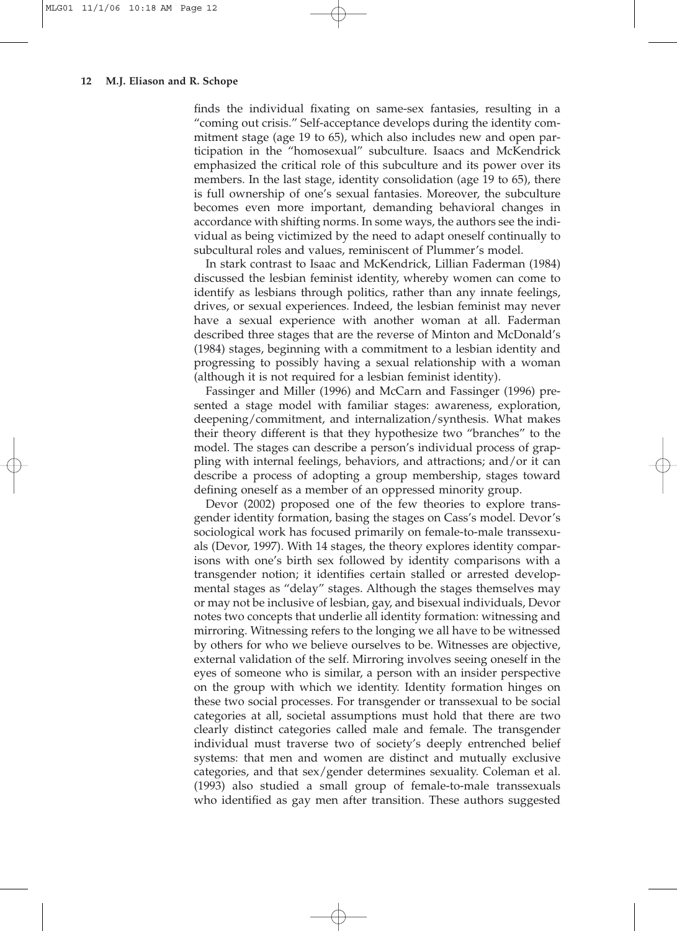finds the individual fixating on same-sex fantasies, resulting in a "coming out crisis." Self-acceptance develops during the identity commitment stage (age 19 to 65), which also includes new and open participation in the "homosexual" subculture. Isaacs and McKendrick emphasized the critical role of this subculture and its power over its members. In the last stage, identity consolidation (age 19 to 65), there is full ownership of one's sexual fantasies. Moreover, the subculture becomes even more important, demanding behavioral changes in accordance with shifting norms. In some ways, the authors see the individual as being victimized by the need to adapt oneself continually to subcultural roles and values, reminiscent of Plummer's model.

In stark contrast to Isaac and McKendrick, Lillian Faderman (1984) discussed the lesbian feminist identity, whereby women can come to identify as lesbians through politics, rather than any innate feelings, drives, or sexual experiences. Indeed, the lesbian feminist may never have a sexual experience with another woman at all. Faderman described three stages that are the reverse of Minton and McDonald's (1984) stages, beginning with a commitment to a lesbian identity and progressing to possibly having a sexual relationship with a woman (although it is not required for a lesbian feminist identity).

Fassinger and Miller (1996) and McCarn and Fassinger (1996) presented a stage model with familiar stages: awareness, exploration, deepening/commitment, and internalization/synthesis. What makes their theory different is that they hypothesize two "branches" to the model. The stages can describe a person's individual process of grappling with internal feelings, behaviors, and attractions; and/or it can describe a process of adopting a group membership, stages toward defining oneself as a member of an oppressed minority group.

Devor (2002) proposed one of the few theories to explore transgender identity formation, basing the stages on Cass's model. Devor's sociological work has focused primarily on female-to-male transsexuals (Devor, 1997). With 14 stages, the theory explores identity comparisons with one's birth sex followed by identity comparisons with a transgender notion; it identifies certain stalled or arrested developmental stages as "delay" stages. Although the stages themselves may or may not be inclusive of lesbian, gay, and bisexual individuals, Devor notes two concepts that underlie all identity formation: witnessing and mirroring. Witnessing refers to the longing we all have to be witnessed by others for who we believe ourselves to be. Witnesses are objective, external validation of the self. Mirroring involves seeing oneself in the eyes of someone who is similar, a person with an insider perspective on the group with which we identity. Identity formation hinges on these two social processes. For transgender or transsexual to be social categories at all, societal assumptions must hold that there are two clearly distinct categories called male and female. The transgender individual must traverse two of society's deeply entrenched belief systems: that men and women are distinct and mutually exclusive categories, and that sex/gender determines sexuality. Coleman et al. (1993) also studied a small group of female-to-male transsexuals who identified as gay men after transition. These authors suggested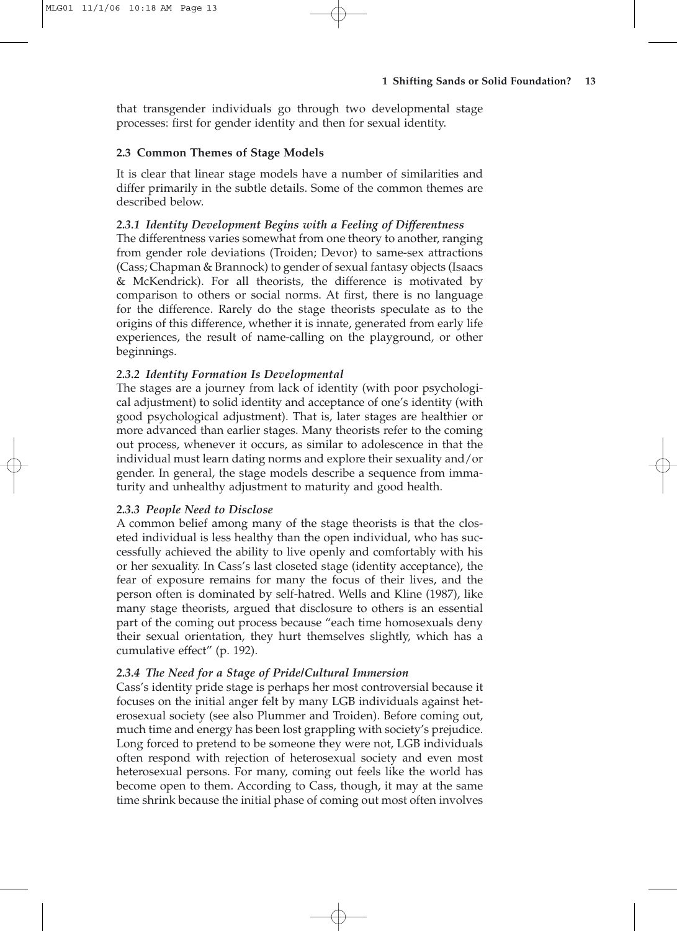that transgender individuals go through two developmental stage processes: first for gender identity and then for sexual identity.

#### **2.3 Common Themes of Stage Models**

It is clear that linear stage models have a number of similarities and differ primarily in the subtle details. Some of the common themes are described below.

*2.3.1 Identity Development Begins with a Feeling of Differentness*

The differentness varies somewhat from one theory to another, ranging from gender role deviations (Troiden; Devor) to same-sex attractions (Cass; Chapman & Brannock) to gender of sexual fantasy objects (Isaacs & McKendrick). For all theorists, the difference is motivated by comparison to others or social norms. At first, there is no language for the difference. Rarely do the stage theorists speculate as to the origins of this difference, whether it is innate, generated from early life experiences, the result of name-calling on the playground, or other beginnings.

#### *2.3.2 Identity Formation Is Developmental*

The stages are a journey from lack of identity (with poor psychological adjustment) to solid identity and acceptance of one's identity (with good psychological adjustment). That is, later stages are healthier or more advanced than earlier stages. Many theorists refer to the coming out process, whenever it occurs, as similar to adolescence in that the individual must learn dating norms and explore their sexuality and/or gender. In general, the stage models describe a sequence from immaturity and unhealthy adjustment to maturity and good health.

#### *2.3.3 People Need to Disclose*

A common belief among many of the stage theorists is that the closeted individual is less healthy than the open individual, who has successfully achieved the ability to live openly and comfortably with his or her sexuality. In Cass's last closeted stage (identity acceptance), the fear of exposure remains for many the focus of their lives, and the person often is dominated by self-hatred. Wells and Kline (1987), like many stage theorists, argued that disclosure to others is an essential part of the coming out process because "each time homosexuals deny their sexual orientation, they hurt themselves slightly, which has a cumulative effect" (p. 192).

#### *2.3.4 The Need for a Stage of Pride/Cultural Immersion*

Cass's identity pride stage is perhaps her most controversial because it focuses on the initial anger felt by many LGB individuals against heterosexual society (see also Plummer and Troiden). Before coming out, much time and energy has been lost grappling with society's prejudice. Long forced to pretend to be someone they were not, LGB individuals often respond with rejection of heterosexual society and even most heterosexual persons. For many, coming out feels like the world has become open to them. According to Cass, though, it may at the same time shrink because the initial phase of coming out most often involves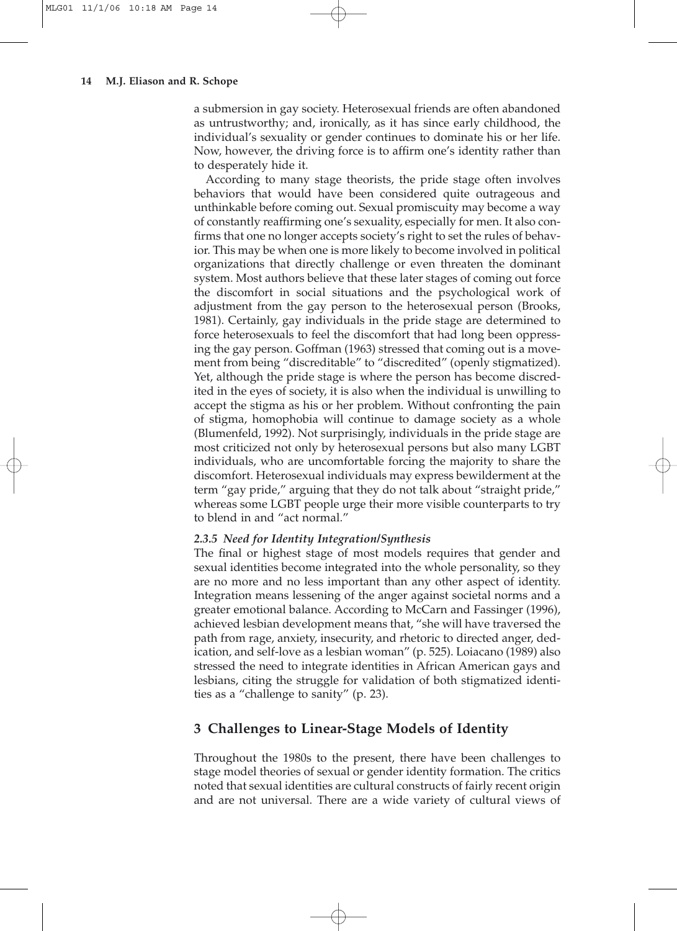a submersion in gay society. Heterosexual friends are often abandoned as untrustworthy; and, ironically, as it has since early childhood, the individual's sexuality or gender continues to dominate his or her life. Now, however, the driving force is to affirm one's identity rather than to desperately hide it.

According to many stage theorists, the pride stage often involves behaviors that would have been considered quite outrageous and unthinkable before coming out. Sexual promiscuity may become a way of constantly reaffirming one's sexuality, especially for men. It also confirms that one no longer accepts society's right to set the rules of behavior. This may be when one is more likely to become involved in political organizations that directly challenge or even threaten the dominant system. Most authors believe that these later stages of coming out force the discomfort in social situations and the psychological work of adjustment from the gay person to the heterosexual person (Brooks, 1981). Certainly, gay individuals in the pride stage are determined to force heterosexuals to feel the discomfort that had long been oppressing the gay person. Goffman (1963) stressed that coming out is a movement from being "discreditable" to "discredited" (openly stigmatized). Yet, although the pride stage is where the person has become discredited in the eyes of society, it is also when the individual is unwilling to accept the stigma as his or her problem. Without confronting the pain of stigma, homophobia will continue to damage society as a whole (Blumenfeld, 1992). Not surprisingly, individuals in the pride stage are most criticized not only by heterosexual persons but also many LGBT individuals, who are uncomfortable forcing the majority to share the discomfort. Heterosexual individuals may express bewilderment at the term "gay pride," arguing that they do not talk about "straight pride," whereas some LGBT people urge their more visible counterparts to try to blend in and "act normal."

#### *2.3.5 Need for Identity Integration/Synthesis*

The final or highest stage of most models requires that gender and sexual identities become integrated into the whole personality, so they are no more and no less important than any other aspect of identity. Integration means lessening of the anger against societal norms and a greater emotional balance. According to McCarn and Fassinger (1996), achieved lesbian development means that, "she will have traversed the path from rage, anxiety, insecurity, and rhetoric to directed anger, dedication, and self-love as a lesbian woman" (p. 525). Loiacano (1989) also stressed the need to integrate identities in African American gays and lesbians, citing the struggle for validation of both stigmatized identities as a "challenge to sanity" (p. 23).

# **3 Challenges to Linear-Stage Models of Identity**

Throughout the 1980s to the present, there have been challenges to stage model theories of sexual or gender identity formation. The critics noted that sexual identities are cultural constructs of fairly recent origin and are not universal. There are a wide variety of cultural views of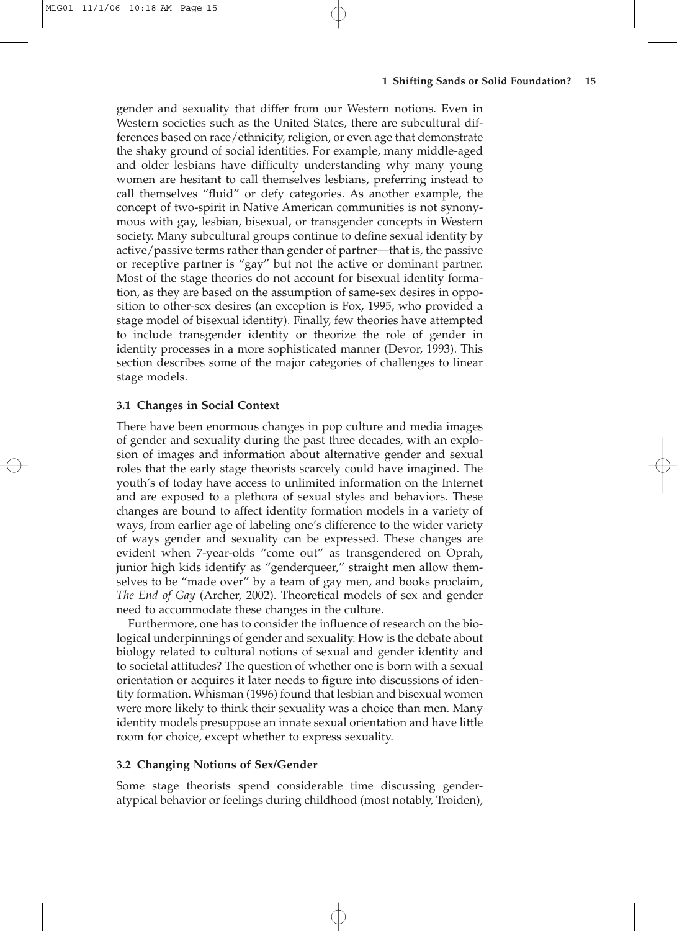gender and sexuality that differ from our Western notions. Even in Western societies such as the United States, there are subcultural differences based on race/ethnicity, religion, or even age that demonstrate the shaky ground of social identities. For example, many middle-aged and older lesbians have difficulty understanding why many young women are hesitant to call themselves lesbians, preferring instead to call themselves "fluid" or defy categories. As another example, the concept of two-spirit in Native American communities is not synonymous with gay, lesbian, bisexual, or transgender concepts in Western society. Many subcultural groups continue to define sexual identity by active/passive terms rather than gender of partner—that is, the passive or receptive partner is "gay" but not the active or dominant partner. Most of the stage theories do not account for bisexual identity formation, as they are based on the assumption of same-sex desires in opposition to other-sex desires (an exception is Fox, 1995, who provided a stage model of bisexual identity). Finally, few theories have attempted to include transgender identity or theorize the role of gender in identity processes in a more sophisticated manner (Devor, 1993). This section describes some of the major categories of challenges to linear stage models.

#### **3.1 Changes in Social Context**

There have been enormous changes in pop culture and media images of gender and sexuality during the past three decades, with an explosion of images and information about alternative gender and sexual roles that the early stage theorists scarcely could have imagined. The youth's of today have access to unlimited information on the Internet and are exposed to a plethora of sexual styles and behaviors. These changes are bound to affect identity formation models in a variety of ways, from earlier age of labeling one's difference to the wider variety of ways gender and sexuality can be expressed. These changes are evident when 7-year-olds "come out" as transgendered on Oprah, junior high kids identify as "genderqueer," straight men allow themselves to be "made over" by a team of gay men, and books proclaim, *The End of Gay* (Archer, 2002). Theoretical models of sex and gender need to accommodate these changes in the culture.

Furthermore, one has to consider the influence of research on the biological underpinnings of gender and sexuality. How is the debate about biology related to cultural notions of sexual and gender identity and to societal attitudes? The question of whether one is born with a sexual orientation or acquires it later needs to figure into discussions of identity formation. Whisman (1996) found that lesbian and bisexual women were more likely to think their sexuality was a choice than men. Many identity models presuppose an innate sexual orientation and have little room for choice, except whether to express sexuality.

#### **3.2 Changing Notions of Sex/Gender**

Some stage theorists spend considerable time discussing genderatypical behavior or feelings during childhood (most notably, Troiden),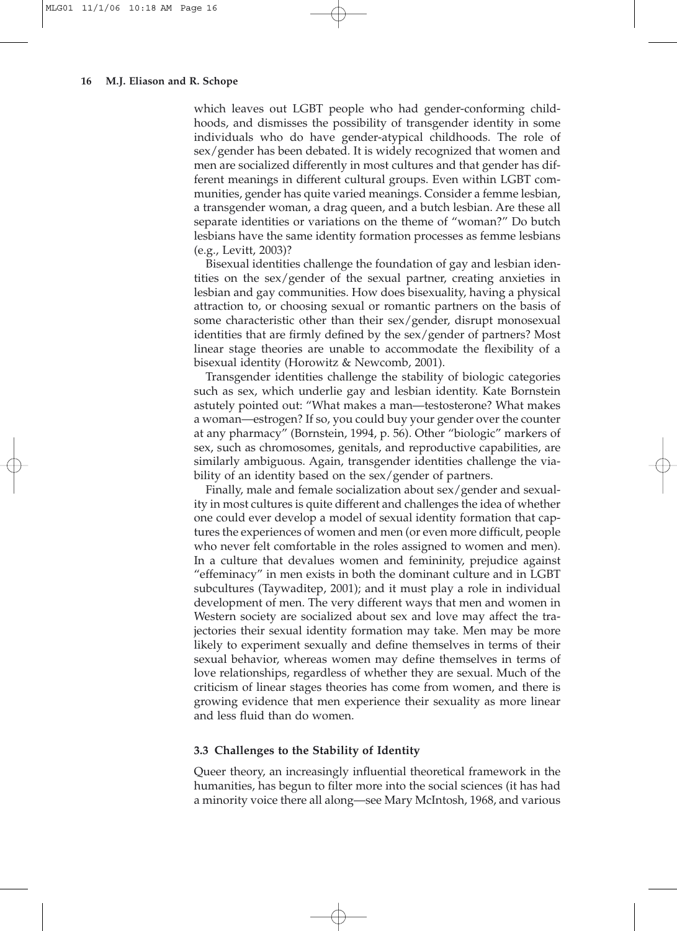which leaves out LGBT people who had gender-conforming childhoods, and dismisses the possibility of transgender identity in some individuals who do have gender-atypical childhoods. The role of sex/gender has been debated. It is widely recognized that women and men are socialized differently in most cultures and that gender has different meanings in different cultural groups. Even within LGBT communities, gender has quite varied meanings. Consider a femme lesbian, a transgender woman, a drag queen, and a butch lesbian. Are these all separate identities or variations on the theme of "woman?" Do butch lesbians have the same identity formation processes as femme lesbians (e.g., Levitt, 2003)?

Bisexual identities challenge the foundation of gay and lesbian identities on the sex/gender of the sexual partner, creating anxieties in lesbian and gay communities. How does bisexuality, having a physical attraction to, or choosing sexual or romantic partners on the basis of some characteristic other than their sex/gender, disrupt monosexual identities that are firmly defined by the sex/gender of partners? Most linear stage theories are unable to accommodate the flexibility of a bisexual identity (Horowitz & Newcomb, 2001).

Transgender identities challenge the stability of biologic categories such as sex, which underlie gay and lesbian identity. Kate Bornstein astutely pointed out: "What makes a man—testosterone? What makes a woman—estrogen? If so, you could buy your gender over the counter at any pharmacy" (Bornstein, 1994, p. 56). Other "biologic" markers of sex, such as chromosomes, genitals, and reproductive capabilities, are similarly ambiguous. Again, transgender identities challenge the viability of an identity based on the sex/gender of partners.

Finally, male and female socialization about sex/gender and sexuality in most cultures is quite different and challenges the idea of whether one could ever develop a model of sexual identity formation that captures the experiences of women and men (or even more difficult, people who never felt comfortable in the roles assigned to women and men). In a culture that devalues women and femininity, prejudice against "effeminacy" in men exists in both the dominant culture and in LGBT subcultures (Taywaditep, 2001); and it must play a role in individual development of men. The very different ways that men and women in Western society are socialized about sex and love may affect the trajectories their sexual identity formation may take. Men may be more likely to experiment sexually and define themselves in terms of their sexual behavior, whereas women may define themselves in terms of love relationships, regardless of whether they are sexual. Much of the criticism of linear stages theories has come from women, and there is growing evidence that men experience their sexuality as more linear and less fluid than do women.

## **3.3 Challenges to the Stability of Identity**

Queer theory, an increasingly influential theoretical framework in the humanities, has begun to filter more into the social sciences (it has had a minority voice there all along—see Mary McIntosh, 1968, and various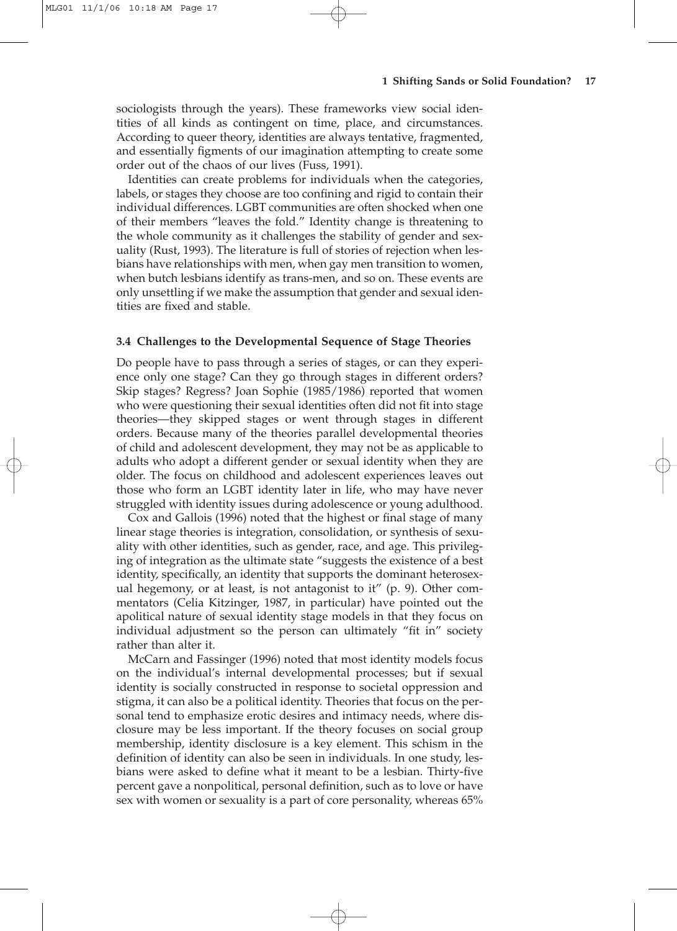sociologists through the years). These frameworks view social identities of all kinds as contingent on time, place, and circumstances. According to queer theory, identities are always tentative, fragmented, and essentially figments of our imagination attempting to create some order out of the chaos of our lives (Fuss, 1991).

Identities can create problems for individuals when the categories, labels, or stages they choose are too confining and rigid to contain their individual differences. LGBT communities are often shocked when one of their members "leaves the fold." Identity change is threatening to the whole community as it challenges the stability of gender and sexuality (Rust, 1993). The literature is full of stories of rejection when lesbians have relationships with men, when gay men transition to women, when butch lesbians identify as trans-men, and so on. These events are only unsettling if we make the assumption that gender and sexual identities are fixed and stable.

#### **3.4 Challenges to the Developmental Sequence of Stage Theories**

Do people have to pass through a series of stages, or can they experience only one stage? Can they go through stages in different orders? Skip stages? Regress? Joan Sophie (1985/1986) reported that women who were questioning their sexual identities often did not fit into stage theories—they skipped stages or went through stages in different orders. Because many of the theories parallel developmental theories of child and adolescent development, they may not be as applicable to adults who adopt a different gender or sexual identity when they are older. The focus on childhood and adolescent experiences leaves out those who form an LGBT identity later in life, who may have never struggled with identity issues during adolescence or young adulthood.

Cox and Gallois (1996) noted that the highest or final stage of many linear stage theories is integration, consolidation, or synthesis of sexuality with other identities, such as gender, race, and age. This privileging of integration as the ultimate state "suggests the existence of a best identity, specifically, an identity that supports the dominant heterosexual hegemony, or at least, is not antagonist to it" (p. 9). Other commentators (Celia Kitzinger, 1987, in particular) have pointed out the apolitical nature of sexual identity stage models in that they focus on individual adjustment so the person can ultimately "fit in" society rather than alter it.

McCarn and Fassinger (1996) noted that most identity models focus on the individual's internal developmental processes; but if sexual identity is socially constructed in response to societal oppression and stigma, it can also be a political identity. Theories that focus on the personal tend to emphasize erotic desires and intimacy needs, where disclosure may be less important. If the theory focuses on social group membership, identity disclosure is a key element. This schism in the definition of identity can also be seen in individuals. In one study, lesbians were asked to define what it meant to be a lesbian. Thirty-five percent gave a nonpolitical, personal definition, such as to love or have sex with women or sexuality is a part of core personality, whereas 65%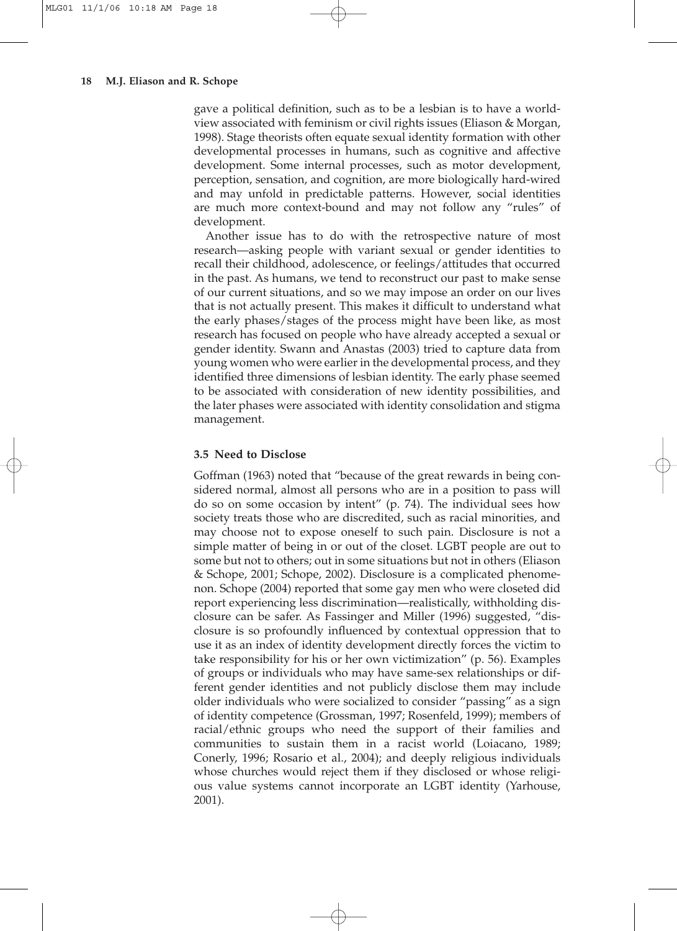gave a political definition, such as to be a lesbian is to have a worldview associated with feminism or civil rights issues (Eliason & Morgan, 1998). Stage theorists often equate sexual identity formation with other developmental processes in humans, such as cognitive and affective development. Some internal processes, such as motor development, perception, sensation, and cognition, are more biologically hard-wired and may unfold in predictable patterns. However, social identities are much more context-bound and may not follow any "rules" of development.

Another issue has to do with the retrospective nature of most research—asking people with variant sexual or gender identities to recall their childhood, adolescence, or feelings/attitudes that occurred in the past. As humans, we tend to reconstruct our past to make sense of our current situations, and so we may impose an order on our lives that is not actually present. This makes it difficult to understand what the early phases/stages of the process might have been like, as most research has focused on people who have already accepted a sexual or gender identity. Swann and Anastas (2003) tried to capture data from young women who were earlier in the developmental process, and they identified three dimensions of lesbian identity. The early phase seemed to be associated with consideration of new identity possibilities, and the later phases were associated with identity consolidation and stigma management.

#### **3.5 Need to Disclose**

Goffman (1963) noted that "because of the great rewards in being considered normal, almost all persons who are in a position to pass will do so on some occasion by intent" (p. 74). The individual sees how society treats those who are discredited, such as racial minorities, and may choose not to expose oneself to such pain. Disclosure is not a simple matter of being in or out of the closet. LGBT people are out to some but not to others; out in some situations but not in others (Eliason & Schope, 2001; Schope, 2002). Disclosure is a complicated phenomenon. Schope (2004) reported that some gay men who were closeted did report experiencing less discrimination—realistically, withholding disclosure can be safer. As Fassinger and Miller (1996) suggested, "disclosure is so profoundly influenced by contextual oppression that to use it as an index of identity development directly forces the victim to take responsibility for his or her own victimization" (p. 56). Examples of groups or individuals who may have same-sex relationships or different gender identities and not publicly disclose them may include older individuals who were socialized to consider "passing" as a sign of identity competence (Grossman, 1997; Rosenfeld, 1999); members of racial/ethnic groups who need the support of their families and communities to sustain them in a racist world (Loiacano, 1989; Conerly, 1996; Rosario et al., 2004); and deeply religious individuals whose churches would reject them if they disclosed or whose religious value systems cannot incorporate an LGBT identity (Yarhouse, 2001).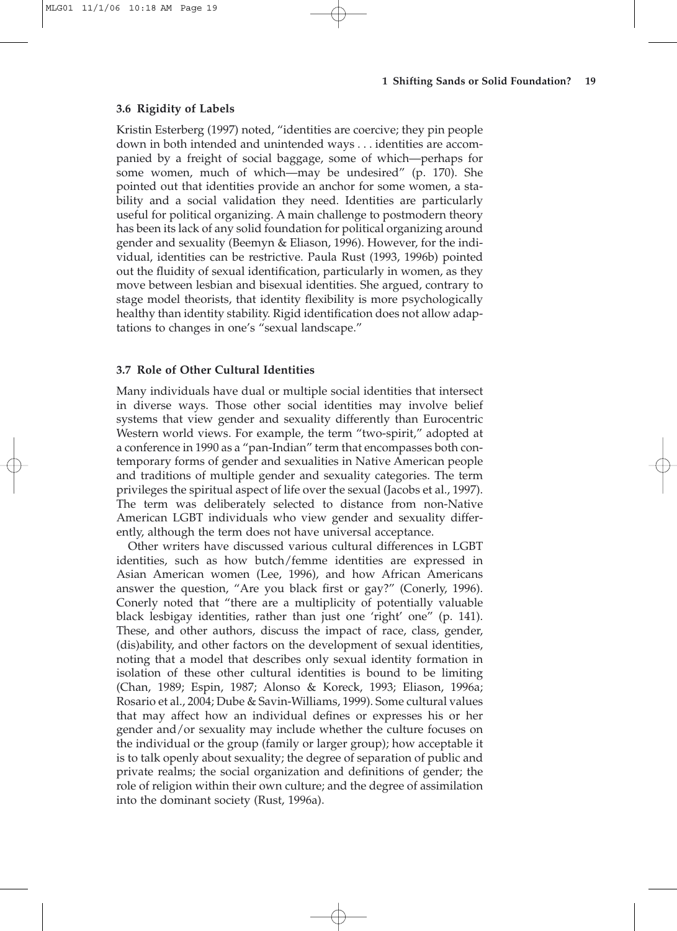#### **3.6 Rigidity of Labels**

Kristin Esterberg (1997) noted, "identities are coercive; they pin people down in both intended and unintended ways... identities are accompanied by a freight of social baggage, some of which—perhaps for some women, much of which—may be undesired" (p. 170). She pointed out that identities provide an anchor for some women, a stability and a social validation they need. Identities are particularly useful for political organizing. A main challenge to postmodern theory has been its lack of any solid foundation for political organizing around gender and sexuality (Beemyn & Eliason, 1996). However, for the individual, identities can be restrictive. Paula Rust (1993, 1996b) pointed out the fluidity of sexual identification, particularly in women, as they move between lesbian and bisexual identities. She argued, contrary to stage model theorists, that identity flexibility is more psychologically healthy than identity stability. Rigid identification does not allow adaptations to changes in one's "sexual landscape."

#### **3.7 Role of Other Cultural Identities**

Many individuals have dual or multiple social identities that intersect in diverse ways. Those other social identities may involve belief systems that view gender and sexuality differently than Eurocentric Western world views. For example, the term "two-spirit," adopted at a conference in 1990 as a "pan-Indian" term that encompasses both contemporary forms of gender and sexualities in Native American people and traditions of multiple gender and sexuality categories. The term privileges the spiritual aspect of life over the sexual (Jacobs et al., 1997). The term was deliberately selected to distance from non-Native American LGBT individuals who view gender and sexuality differently, although the term does not have universal acceptance.

Other writers have discussed various cultural differences in LGBT identities, such as how butch/femme identities are expressed in Asian American women (Lee, 1996), and how African Americans answer the question, "Are you black first or gay?" (Conerly, 1996). Conerly noted that "there are a multiplicity of potentially valuable black lesbigay identities, rather than just one 'right' one" (p. 141). These, and other authors, discuss the impact of race, class, gender, (dis)ability, and other factors on the development of sexual identities, noting that a model that describes only sexual identity formation in isolation of these other cultural identities is bound to be limiting (Chan, 1989; Espin, 1987; Alonso & Koreck, 1993; Eliason, 1996a; Rosario et al., 2004; Dube & Savin-Williams, 1999). Some cultural values that may affect how an individual defines or expresses his or her gender and/or sexuality may include whether the culture focuses on the individual or the group (family or larger group); how acceptable it is to talk openly about sexuality; the degree of separation of public and private realms; the social organization and definitions of gender; the role of religion within their own culture; and the degree of assimilation into the dominant society (Rust, 1996a).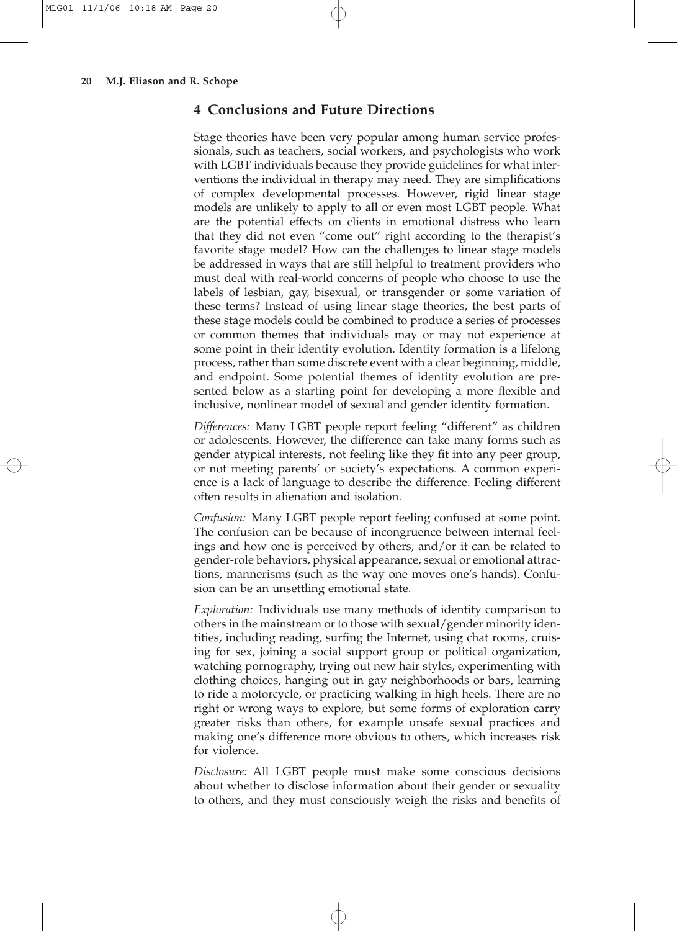# **4 Conclusions and Future Directions**

Stage theories have been very popular among human service professionals, such as teachers, social workers, and psychologists who work with LGBT individuals because they provide guidelines for what interventions the individual in therapy may need. They are simplifications of complex developmental processes. However, rigid linear stage models are unlikely to apply to all or even most LGBT people. What are the potential effects on clients in emotional distress who learn that they did not even "come out" right according to the therapist's favorite stage model? How can the challenges to linear stage models be addressed in ways that are still helpful to treatment providers who must deal with real-world concerns of people who choose to use the labels of lesbian, gay, bisexual, or transgender or some variation of these terms? Instead of using linear stage theories, the best parts of these stage models could be combined to produce a series of processes or common themes that individuals may or may not experience at some point in their identity evolution. Identity formation is a lifelong process, rather than some discrete event with a clear beginning, middle, and endpoint. Some potential themes of identity evolution are presented below as a starting point for developing a more flexible and inclusive, nonlinear model of sexual and gender identity formation.

*Differences:* Many LGBT people report feeling "different" as children or adolescents. However, the difference can take many forms such as gender atypical interests, not feeling like they fit into any peer group, or not meeting parents' or society's expectations. A common experience is a lack of language to describe the difference. Feeling different often results in alienation and isolation.

*Confusion:* Many LGBT people report feeling confused at some point. The confusion can be because of incongruence between internal feelings and how one is perceived by others, and/or it can be related to gender-role behaviors, physical appearance, sexual or emotional attractions, mannerisms (such as the way one moves one's hands). Confusion can be an unsettling emotional state.

*Exploration:* Individuals use many methods of identity comparison to others in the mainstream or to those with sexual/gender minority identities, including reading, surfing the Internet, using chat rooms, cruising for sex, joining a social support group or political organization, watching pornography, trying out new hair styles, experimenting with clothing choices, hanging out in gay neighborhoods or bars, learning to ride a motorcycle, or practicing walking in high heels. There are no right or wrong ways to explore, but some forms of exploration carry greater risks than others, for example unsafe sexual practices and making one's difference more obvious to others, which increases risk for violence.

*Disclosure:* All LGBT people must make some conscious decisions about whether to disclose information about their gender or sexuality to others, and they must consciously weigh the risks and benefits of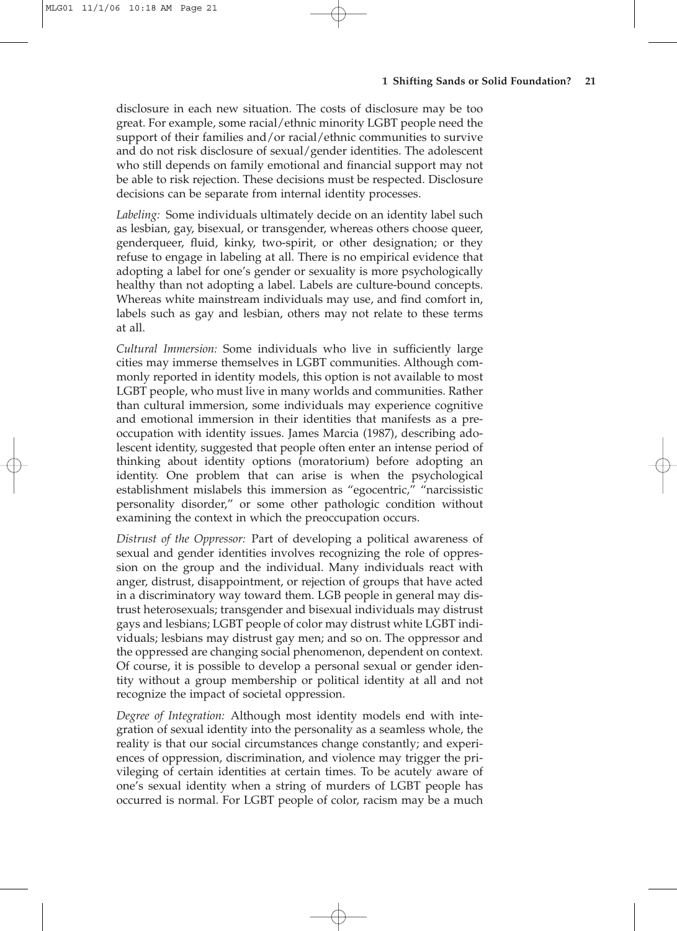disclosure in each new situation. The costs of disclosure may be too great. For example, some racial/ethnic minority LGBT people need the support of their families and/or racial/ethnic communities to survive and do not risk disclosure of sexual/gender identities. The adolescent who still depends on family emotional and financial support may not be able to risk rejection. These decisions must be respected. Disclosure decisions can be separate from internal identity processes.

*Labeling:* Some individuals ultimately decide on an identity label such as lesbian, gay, bisexual, or transgender, whereas others choose queer, genderqueer, fluid, kinky, two-spirit, or other designation; or they refuse to engage in labeling at all. There is no empirical evidence that adopting a label for one's gender or sexuality is more psychologically healthy than not adopting a label. Labels are culture-bound concepts. Whereas white mainstream individuals may use, and find comfort in, labels such as gay and lesbian, others may not relate to these terms at all.

*Cultural Immersion:* Some individuals who live in sufficiently large cities may immerse themselves in LGBT communities. Although commonly reported in identity models, this option is not available to most LGBT people, who must live in many worlds and communities. Rather than cultural immersion, some individuals may experience cognitive and emotional immersion in their identities that manifests as a preoccupation with identity issues. James Marcia (1987), describing adolescent identity, suggested that people often enter an intense period of thinking about identity options (moratorium) before adopting an identity. One problem that can arise is when the psychological establishment mislabels this immersion as "egocentric," "narcissistic personality disorder," or some other pathologic condition without examining the context in which the preoccupation occurs.

*Distrust of the Oppressor:* Part of developing a political awareness of sexual and gender identities involves recognizing the role of oppression on the group and the individual. Many individuals react with anger, distrust, disappointment, or rejection of groups that have acted in a discriminatory way toward them. LGB people in general may distrust heterosexuals; transgender and bisexual individuals may distrust gays and lesbians; LGBT people of color may distrust white LGBT individuals; lesbians may distrust gay men; and so on. The oppressor and the oppressed are changing social phenomenon, dependent on context. Of course, it is possible to develop a personal sexual or gender identity without a group membership or political identity at all and not recognize the impact of societal oppression.

*Degree of Integration:* Although most identity models end with integration of sexual identity into the personality as a seamless whole, the reality is that our social circumstances change constantly; and experiences of oppression, discrimination, and violence may trigger the privileging of certain identities at certain times. To be acutely aware of one's sexual identity when a string of murders of LGBT people has occurred is normal. For LGBT people of color, racism may be a much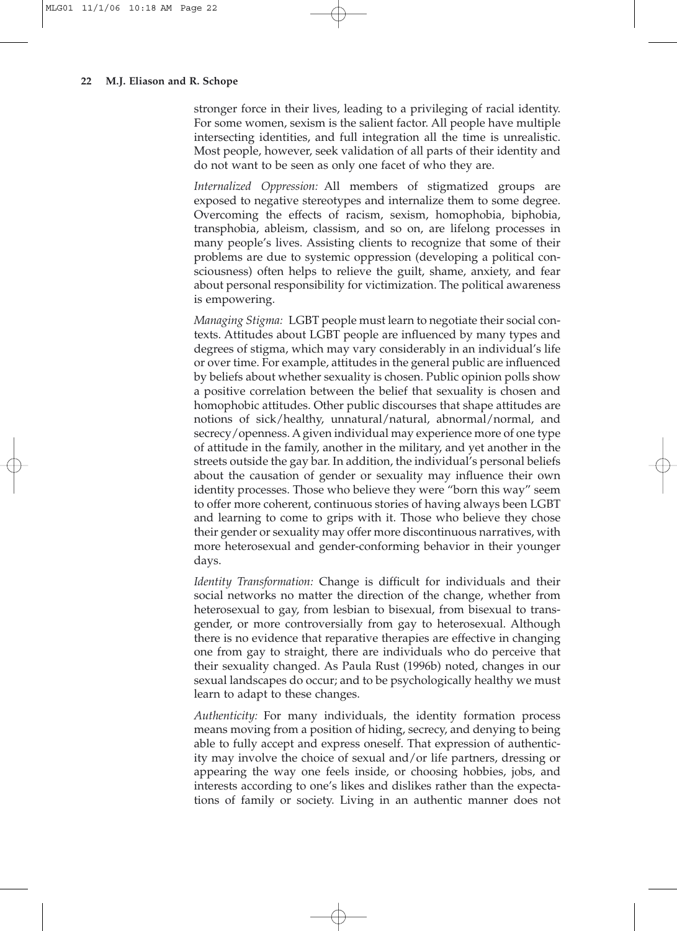stronger force in their lives, leading to a privileging of racial identity. For some women, sexism is the salient factor. All people have multiple intersecting identities, and full integration all the time is unrealistic. Most people, however, seek validation of all parts of their identity and do not want to be seen as only one facet of who they are.

*Internalized Oppression:* All members of stigmatized groups are exposed to negative stereotypes and internalize them to some degree. Overcoming the effects of racism, sexism, homophobia, biphobia, transphobia, ableism, classism, and so on, are lifelong processes in many people's lives. Assisting clients to recognize that some of their problems are due to systemic oppression (developing a political consciousness) often helps to relieve the guilt, shame, anxiety, and fear about personal responsibility for victimization. The political awareness is empowering.

*Managing Stigma:* LGBT people must learn to negotiate their social contexts. Attitudes about LGBT people are influenced by many types and degrees of stigma, which may vary considerably in an individual's life or over time. For example, attitudes in the general public are influenced by beliefs about whether sexuality is chosen. Public opinion polls show a positive correlation between the belief that sexuality is chosen and homophobic attitudes. Other public discourses that shape attitudes are notions of sick/healthy, unnatural/natural, abnormal/normal, and secrecy/openness. A given individual may experience more of one type of attitude in the family, another in the military, and yet another in the streets outside the gay bar. In addition, the individual's personal beliefs about the causation of gender or sexuality may influence their own identity processes. Those who believe they were "born this way" seem to offer more coherent, continuous stories of having always been LGBT and learning to come to grips with it. Those who believe they chose their gender or sexuality may offer more discontinuous narratives, with more heterosexual and gender-conforming behavior in their younger days.

*Identity Transformation:* Change is difficult for individuals and their social networks no matter the direction of the change, whether from heterosexual to gay, from lesbian to bisexual, from bisexual to transgender, or more controversially from gay to heterosexual. Although there is no evidence that reparative therapies are effective in changing one from gay to straight, there are individuals who do perceive that their sexuality changed. As Paula Rust (1996b) noted, changes in our sexual landscapes do occur; and to be psychologically healthy we must learn to adapt to these changes.

*Authenticity:* For many individuals, the identity formation process means moving from a position of hiding, secrecy, and denying to being able to fully accept and express oneself. That expression of authenticity may involve the choice of sexual and/or life partners, dressing or appearing the way one feels inside, or choosing hobbies, jobs, and interests according to one's likes and dislikes rather than the expectations of family or society. Living in an authentic manner does not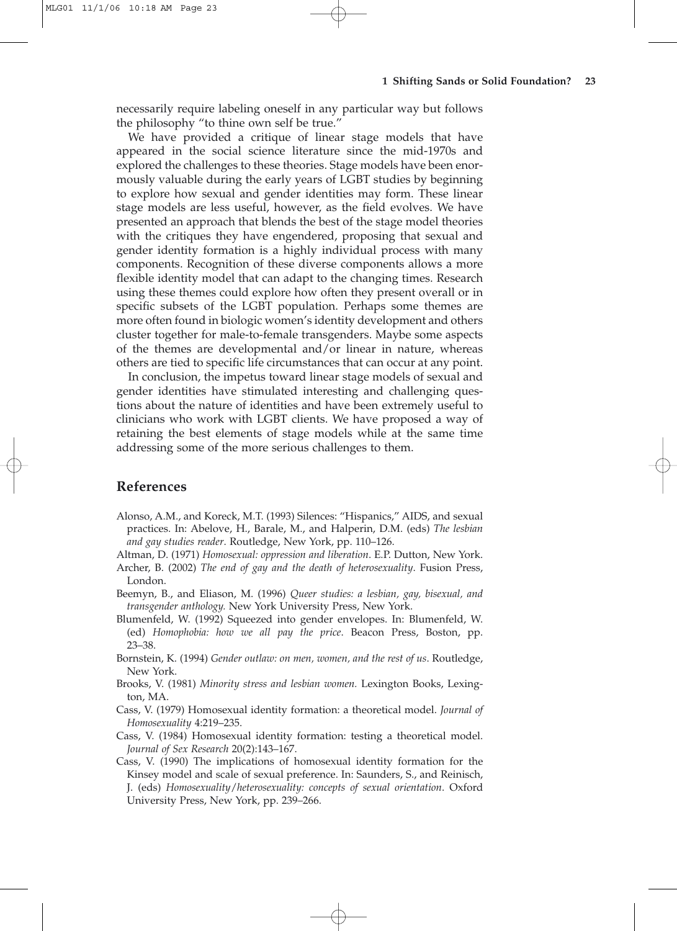necessarily require labeling oneself in any particular way but follows the philosophy "to thine own self be true."

We have provided a critique of linear stage models that have appeared in the social science literature since the mid-1970s and explored the challenges to these theories. Stage models have been enormously valuable during the early years of LGBT studies by beginning to explore how sexual and gender identities may form. These linear stage models are less useful, however, as the field evolves. We have presented an approach that blends the best of the stage model theories with the critiques they have engendered, proposing that sexual and gender identity formation is a highly individual process with many components. Recognition of these diverse components allows a more flexible identity model that can adapt to the changing times. Research using these themes could explore how often they present overall or in specific subsets of the LGBT population. Perhaps some themes are more often found in biologic women's identity development and others cluster together for male-to-female transgenders. Maybe some aspects of the themes are developmental and/or linear in nature, whereas others are tied to specific life circumstances that can occur at any point.

In conclusion, the impetus toward linear stage models of sexual and gender identities have stimulated interesting and challenging questions about the nature of identities and have been extremely useful to clinicians who work with LGBT clients. We have proposed a way of retaining the best elements of stage models while at the same time addressing some of the more serious challenges to them.

#### **References**

- Alonso, A.M., and Koreck, M.T. (1993) Silences: "Hispanics," AIDS, and sexual practices. In: Abelove, H., Barale, M., and Halperin, D.M. (eds) *The lesbian and gay studies reader*. Routledge, New York, pp. 110–126.
- Altman, D. (1971) *Homosexual: oppression and liberation*. E.P. Dutton, New York. Archer, B. (2002) *The end of gay and the death of heterosexuality*. Fusion Press, London.
- Beemyn, B., and Eliason, M. (1996) *Queer studies: a lesbian, gay, bisexual, and transgender anthology.* New York University Press, New York.
- Blumenfeld, W. (1992) Squeezed into gender envelopes. In: Blumenfeld, W. (ed) *Homophobia: how we all pay the price*. Beacon Press, Boston, pp. 23–38.
- Bornstein, K. (1994) *Gender outlaw: on men, women, and the rest of us*. Routledge, New York.
- Brooks, V. (1981) *Minority stress and lesbian women.* Lexington Books, Lexington, MA.
- Cass, V. (1979) Homosexual identity formation: a theoretical model. *Journal of Homosexuality* 4:219–235.
- Cass, V. (1984) Homosexual identity formation: testing a theoretical model. *Journal of Sex Research* 20(2):143–167.
- Cass, V. (1990) The implications of homosexual identity formation for the Kinsey model and scale of sexual preference. In: Saunders, S., and Reinisch, J. (eds) *Homosexuality*/*heterosexuality: concepts of sexual orientation*. Oxford University Press, New York, pp. 239–266.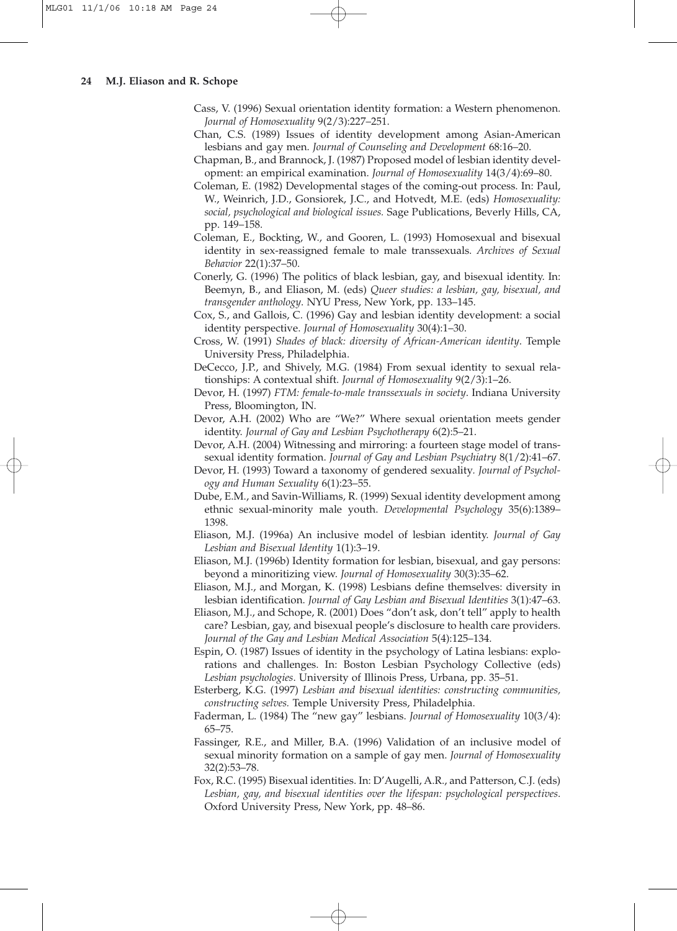- Cass, V. (1996) Sexual orientation identity formation: a Western phenomenon. *Journal of Homosexuality* 9(2/3):227–251.
- Chan, C.S. (1989) Issues of identity development among Asian-American lesbians and gay men. *Journal of Counseling and Development* 68:16–20.
- Chapman, B., and Brannock, J. (1987) Proposed model of lesbian identity development: an empirical examination. *Journal of Homosexuality* 14(3/4):69–80.
- Coleman, E. (1982) Developmental stages of the coming-out process. In: Paul, W., Weinrich, J.D., Gonsiorek, J.C., and Hotvedt, M.E. (eds) *Homosexuality: social, psychological and biological issues.* Sage Publications, Beverly Hills, CA, pp. 149–158.
- Coleman, E., Bockting, W., and Gooren, L. (1993) Homosexual and bisexual identity in sex-reassigned female to male transsexuals. *Archives of Sexual Behavior* 22(1):37–50.
- Conerly, G. (1996) The politics of black lesbian, gay, and bisexual identity. In: Beemyn, B., and Eliason, M. (eds) *Queer studies: a lesbian, gay, bisexual, and transgender anthology*. NYU Press, New York, pp. 133–145.
- Cox, S., and Gallois, C. (1996) Gay and lesbian identity development: a social identity perspective. *Journal of Homosexuality* 30(4):1–30.
- Cross, W. (1991) *Shades of black: diversity of African-American identity*. Temple University Press, Philadelphia.
- DeCecco, J.P., and Shively, M.G. (1984) From sexual identity to sexual relationships: A contextual shift. *Journal of Homosexuality* 9(2/3):1–26.
- Devor, H. (1997) *FTM: female-to-male transsexuals in society*. Indiana University Press, Bloomington, IN.
- Devor, A.H. (2002) Who are "We?" Where sexual orientation meets gender identity. *Journal of Gay and Lesbian Psychotherapy* 6(2):5–21.
- Devor, A.H. (2004) Witnessing and mirroring: a fourteen stage model of transsexual identity formation. *Journal of Gay and Lesbian Psychiatry* 8(1/2):41–67.
- Devor, H. (1993) Toward a taxonomy of gendered sexuality*. Journal of Psychology and Human Sexuality* 6(1):23–55.
- Dube, E.M., and Savin-Williams, R. (1999) Sexual identity development among ethnic sexual-minority male youth. *Developmental Psychology* 35(6):1389– 1398.
- Eliason, M.J. (1996a) An inclusive model of lesbian identity. *Journal of Gay Lesbian and Bisexual Identity* 1(1):3–19.
- Eliason, M.J. (1996b) Identity formation for lesbian, bisexual, and gay persons: beyond a minoritizing view. *Journal of Homosexuality* 30(3):35–62.
- Eliason, M.J., and Morgan, K. (1998) Lesbians define themselves: diversity in lesbian identification. *Journal of Gay Lesbian and Bisexual Identities* 3(1):47–63.
- Eliason, M.J., and Schope, R. (2001) Does "don't ask, don't tell" apply to health care? Lesbian, gay, and bisexual people's disclosure to health care providers. *Journal of the Gay and Lesbian Medical Association* 5(4):125–134.
- Espin, O. (1987) Issues of identity in the psychology of Latina lesbians: explorations and challenges. In: Boston Lesbian Psychology Collective (eds) *Lesbian psychologies*. University of Illinois Press, Urbana, pp. 35–51.
- Esterberg, K.G. (1997) *Lesbian and bisexual identities: constructing communities, constructing selves.* Temple University Press, Philadelphia.
- Faderman, L. (1984) The "new gay" lesbians. *Journal of Homosexuality* 10(3/4): 65–75.
- Fassinger, R.E., and Miller, B.A. (1996) Validation of an inclusive model of sexual minority formation on a sample of gay men. *Journal of Homosexuality* 32(2):53–78.
- Fox, R.C. (1995) Bisexual identities. In: D'Augelli, A.R., and Patterson, C.J. (eds) *Lesbian, gay, and bisexual identities over the lifespan: psychological perspectives*. Oxford University Press, New York, pp. 48–86.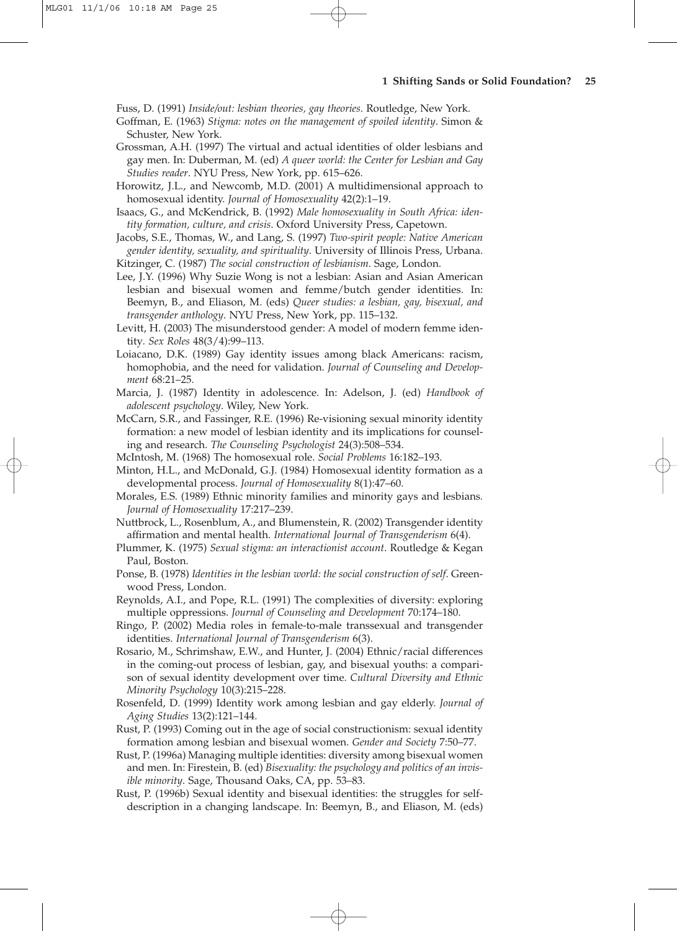Fuss, D. (1991) *Inside/out: lesbian theories, gay theories*. Routledge, New York.

- Goffman, E. (1963) *Stigma: notes on the management of spoiled identity*. Simon & Schuster, New York.
- Grossman, A.H. (1997) The virtual and actual identities of older lesbians and gay men. In: Duberman, M. (ed) *A queer world: the Center for Lesbian and Gay Studies reader*. NYU Press, New York, pp. 615–626.
- Horowitz, J.L., and Newcomb, M.D. (2001) A multidimensional approach to homosexual identity. *Journal of Homosexuality* 42(2):1–19.
- Isaacs, G., and McKendrick, B. (1992) *Male homosexuality in South Africa: identity formation, culture, and crisis*. Oxford University Press, Capetown.
- Jacobs, S.E., Thomas, W., and Lang, S. (1997) *Two-spirit people: Native American gender identity, sexuality, and spirituality*. University of Illinois Press, Urbana. Kitzinger, C. (1987) *The social construction of lesbianism*. Sage, London.
- Lee, J.Y. (1996) Why Suzie Wong is not a lesbian: Asian and Asian American lesbian and bisexual women and femme/butch gender identities. In: Beemyn, B., and Eliason, M. (eds) *Queer studies: a lesbian, gay, bisexual, and transgender anthology*. NYU Press, New York, pp. 115–132.
- Levitt, H. (2003) The misunderstood gender: A model of modern femme identity*. Sex Roles* 48(3/4):99–113.
- Loiacano, D.K. (1989) Gay identity issues among black Americans: racism, homophobia, and the need for validation. *Journal of Counseling and Development* 68:21–25.
- Marcia, J. (1987) Identity in adolescence. In: Adelson, J. (ed) *Handbook of adolescent psychology*. Wiley, New York.
- McCarn, S.R., and Fassinger, R.E. (1996) Re-visioning sexual minority identity formation: a new model of lesbian identity and its implications for counseling and research. *The Counseling Psychologist* 24(3):508–534.
- McIntosh, M. (1968) The homosexual role. *Social Problems* 16:182–193.
- Minton, H.L., and McDonald, G.J. (1984) Homosexual identity formation as a developmental process. *Journal of Homosexuality* 8(1):47–60.
- Morales, E.S. (1989) Ethnic minority families and minority gays and lesbians*. Journal of Homosexuality* 17:217–239.
- Nuttbrock, L., Rosenblum, A., and Blumenstein, R. (2002) Transgender identity affirmation and mental health. *International Journal of Transgenderism* 6(4).
- Plummer, K. (1975) *Sexual stigma: an interactionist account*. Routledge & Kegan Paul, Boston.
- Ponse, B. (1978) *Identities in the lesbian world: the social construction of self*. Greenwood Press, London.
- Reynolds, A.I., and Pope, R.L. (1991) The complexities of diversity: exploring multiple oppressions. *Journal of Counseling and Development* 70:174–180.
- Ringo, P. (2002) Media roles in female-to-male transsexual and transgender identities. *International Journal of Transgenderism* 6(3).
- Rosario, M., Schrimshaw, E.W., and Hunter, J. (2004) Ethnic/racial differences in the coming-out process of lesbian, gay, and bisexual youths: a comparison of sexual identity development over time. *Cultural Diversity and Ethnic Minority Psychology* 10(3):215–228.
- Rosenfeld, D. (1999) Identity work among lesbian and gay elderly. *Journal of Aging Studies* 13(2):121–144.
- Rust, P. (1993) Coming out in the age of social constructionism: sexual identity formation among lesbian and bisexual women. *Gender and Society* 7:50–77.
- Rust, P. (1996a) Managing multiple identities: diversity among bisexual women and men. In: Firestein, B. (ed) *Bisexuality: the psychology and politics of an invisible minority*. Sage, Thousand Oaks, CA, pp. 53–83.
- Rust, P. (1996b) Sexual identity and bisexual identities: the struggles for selfdescription in a changing landscape. In: Beemyn, B., and Eliason, M. (eds)